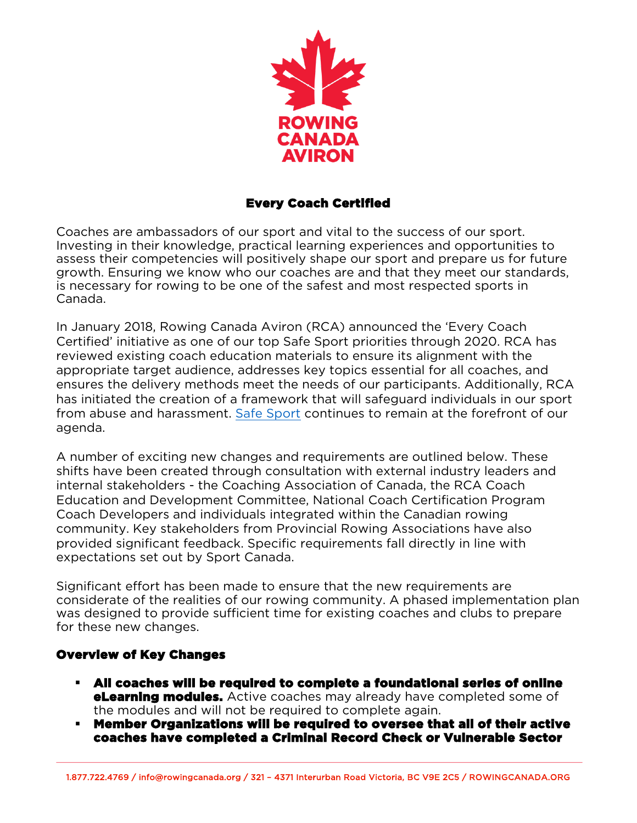

#### Every Coach Certified

Coaches are ambassadors of our sport and vital to the success of our sport. Investing in their knowledge, practical learning experiences and opportunities to assess their competencies will positively shape our sport and prepare us for future growth. Ensuring we know who our coaches are and that they meet our standards, is necessary for rowing to be one of the safest and most respected sports in Canada.

In January 2018, Rowing Canada Aviron (RCA) announced the 'Every Coach Certified' initiative as one of our top Safe Sport priorities through 2020. RCA has reviewed existing coach education materials to ensure its alignment with the appropriate target audience, addresses key topics essential for all coaches, and ensures the delivery methods meet the needs of our participants. Additionally, RCA has initiated the creation of a framework that will safeguard individuals in our sport from abuse and harassment. [Safe Sport](https://www.canada.ca/en/canadian-heritage/news/2018/06/minister-duncan-announces-stronger-measures-to-eliminate-harassment-abuse-and-discrimination-in-sport.html?mc_cid=6f98bad76c&mc_eid=56710dc455) continues to remain at the forefront of our agenda.

A number of exciting new changes and requirements are outlined below. These shifts have been created through consultation with external industry leaders and internal stakeholders - the Coaching Association of Canada, the RCA Coach Education and Development Committee, National Coach Certification Program Coach Developers and individuals integrated within the Canadian rowing community. Key stakeholders from Provincial Rowing Associations have also provided significant feedback. Specific requirements fall directly in line with expectations set out by Sport Canada.

Significant effort has been made to ensure that the new requirements are considerate of the realities of our rowing community. A phased implementation plan was designed to provide sufficient time for existing coaches and clubs to prepare for these new changes.

# Overview of Key Changes

 $\overline{a}$ 

- § All coaches will be required to complete a foundational series of online **eLearning modules.** Active coaches may already have completed some of the modules and will not be required to complete again.
- § Member Organizations will be required to oversee that all of their active coaches have completed a Criminal Record Check or Vulnerable Sector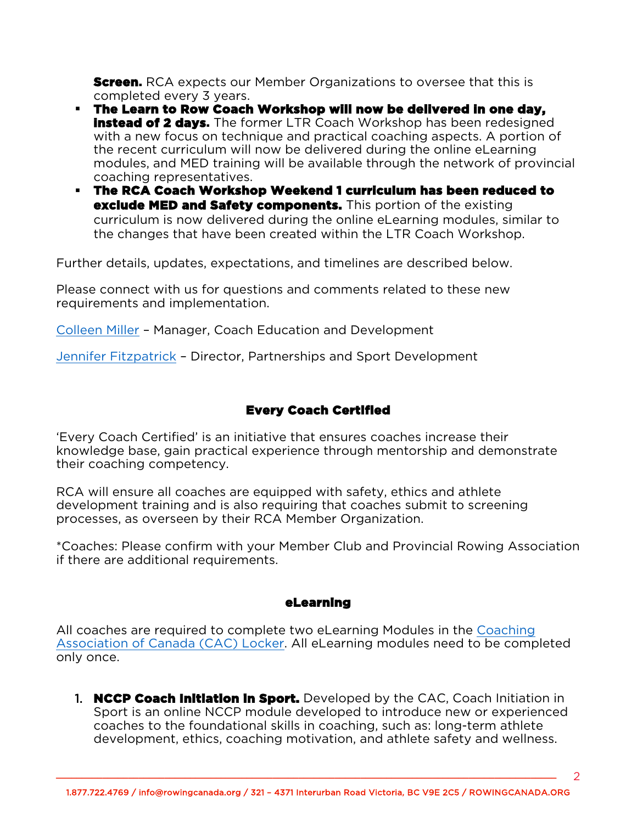**Screen.** RCA expects our Member Organizations to oversee that this is completed every 3 years.

- § The Learn to Row Coach Workshop will now be delivered in one day, **instead of 2 days.** The former LTR Coach Workshop has been redesigned with a new focus on technique and practical coaching aspects. A portion of the recent curriculum will now be delivered during the online eLearning modules, and MED training will be available through the network of provincial coaching representatives.
- § The RCA Coach Workshop Weekend 1 curriculum has been reduced to exclude MED and Safety components. This portion of the existing curriculum is now delivered during the online eLearning modules, similar to the changes that have been created within the LTR Coach Workshop.

Further details, updates, expectations, and timelines are described below.

Please connect with us for questions and comments related to these new requirements and implementation.

[Colleen Miller](mailto:colleenmiller@rowingcanada.org) – Manager, Coach Education and Development

[Jennifer Fitzpatrick](mailto:jfitzpatrick@rowingcanada.org) – Director, Partnerships and Sport Development

# Every Coach Certified

'Every Coach Certified' is an initiative that ensures coaches increase their knowledge base, gain practical experience through mentorship and demonstrate their coaching competency.

RCA will ensure all coaches are equipped with safety, ethics and athlete development training and is also requiring that coaches submit to screening processes, as overseen by their RCA Member Organization.

\*Coaches: Please confirm with your Member Club and Provincial Rowing Association if there are additional requirements.

#### eLearning

All coaches are required to complete two eLearning Modules in the [Coaching](https://thelocker.coach.ca/account/login?ReturnUrl=%2f) Association [of Canada \(CAC\) Locker.](https://thelocker.coach.ca/account/login?ReturnUrl=%2f) All eLearning modules need to be completed only once.

1. **NCCP Coach Initiation in Sport.** Developed by the CAC, Coach Initiation in Sport is an online NCCP module developed to introduce new or experienced coaches to the foundational skills in coaching, such as: long-term athlete development, ethics, coaching motivation, and athlete safety and wellness.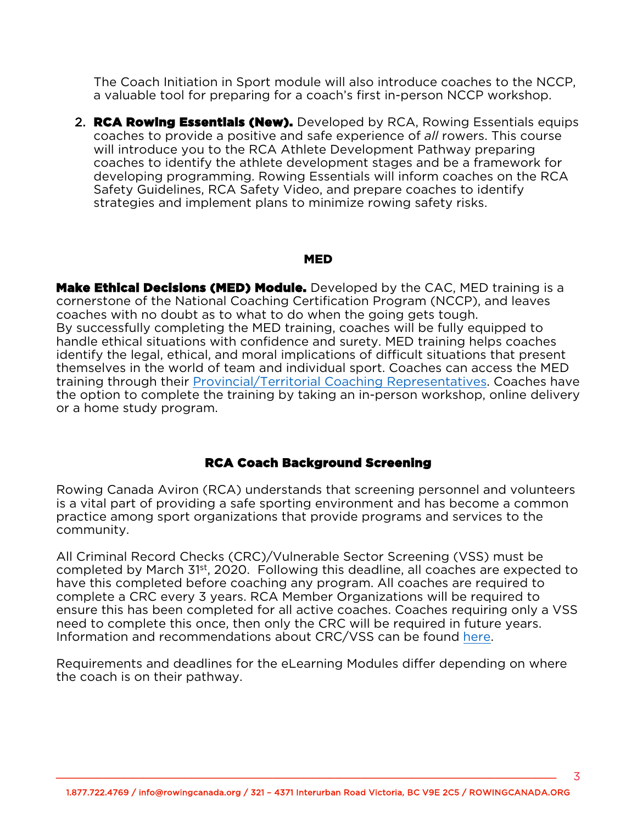The Coach Initiation in Sport module will also introduce coaches to the NCCP, a valuable tool for preparing for a coach's first in-person NCCP workshop.

2. **RCA Rowing Essentials (New).** Developed by RCA, Rowing Essentials equips coaches to provide a positive and safe experience of *all* rowers. This course will introduce you to the RCA Athlete Development Pathway preparing coaches to identify the athlete development stages and be a framework for developing programming. Rowing Essentials will inform coaches on the RCA Safety Guidelines, RCA Safety Video, and prepare coaches to identify strategies and implement plans to minimize rowing safety risks.

#### MED

Make Ethical Decisions (MED) Module. Developed by the CAC, MED training is a cornerstone of the National Coaching Certification Program (NCCP), and leaves coaches with no doubt as to what to do when the going gets tough. By successfully completing the MED training, coaches will be fully equipped to handle ethical situations with confidence and surety. MED training helps coaches identify the legal, ethical, and moral implications of difficult situations that present themselves in the world of team and individual sport. Coaches can access the MED training through their [Provincial/Territorial Coaching Representatives.](https://coach.ca/nccp-make-ethical-decisions) Coaches have the option to complete the training by taking an in-person workshop, online delivery or a home study program.

#### RCA Coach Background Screening

Rowing Canada Aviron (RCA) understands that screening personnel and volunteers is a vital part of providing a safe sporting environment and has become a common practice among sport organizations that provide programs and services to the community.

All Criminal Record Checks (CRC)/Vulnerable Sector Screening (VSS) must be completed by March 31st, 2020. Following this deadline, all coaches are expected to have this completed before coaching any program. All coaches are required to complete a CRC every 3 years. RCA Member Organizations will be required to ensure this has been completed for all active coaches. Coaches requiring only a VSS need to complete this once, then only the CRC will be required in future years. Information and recommendations about CRC/VSS can be found [here.](https://rowingcanada.us10.list-manage.com/track/click?u=4f1e4b296a23720e0aef18212&id=37e501ab90&e=56710dc455)

Requirements and deadlines for the eLearning Modules differ depending on where the coach is on their pathway.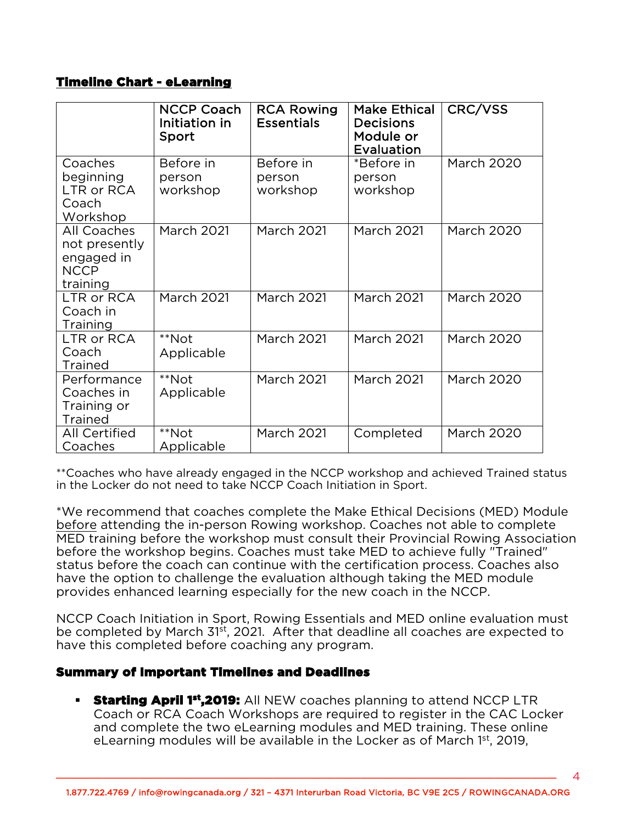# Timeline Chart - eLearning

|                                                                       | <b>NCCP Coach</b><br>Initiation in<br>Sport | <b>RCA Rowing</b><br><b>Essentials</b> | <b>Make Ethical</b><br><b>Decisions</b><br>Module or<br>Evaluation | CRC/VSS           |
|-----------------------------------------------------------------------|---------------------------------------------|----------------------------------------|--------------------------------------------------------------------|-------------------|
| Coaches<br>beginning<br>LTR or RCA<br>Coach<br>Workshop               | Before in<br>person<br>workshop             | Before in<br>person<br>workshop        | *Before in<br>person<br>workshop                                   | <b>March 2020</b> |
| All Coaches<br>not presently<br>engaged in<br><b>NCCP</b><br>training | <b>March 2021</b>                           | <b>March 2021</b>                      | <b>March 2021</b>                                                  | <b>March 2020</b> |
| LTR or RCA<br>Coach in<br><b>Training</b>                             | <b>March 2021</b>                           | <b>March 2021</b>                      | <b>March 2021</b>                                                  | <b>March 2020</b> |
| LTR or RCA<br>Coach<br><b>Trained</b>                                 | **Not<br>Applicable                         | <b>March 2021</b>                      | <b>March 2021</b>                                                  | <b>March 2020</b> |
| Performance<br>Coaches in<br>Training or<br><b>Trained</b>            | **Not<br>Applicable                         | <b>March 2021</b>                      | <b>March 2021</b>                                                  | <b>March 2020</b> |
| <b>All Certified</b><br>Coaches                                       | **Not<br>Applicable                         | <b>March 2021</b>                      | Completed                                                          | <b>March 2020</b> |

\*\*Coaches who have already engaged in the NCCP workshop and achieved Trained status in the Locker do not need to take NCCP Coach Initiation in Sport.

\*We recommend that coaches complete the Make Ethical Decisions (MED) Module before attending the in-person Rowing workshop. Coaches not able to complete MED training before the workshop must consult their Provincial Rowing Association before the workshop begins. Coaches must take MED to achieve fully "Trained" status before the coach can continue with the certification process. Coaches also have the option to challenge the evaluation although taking the MED module provides enhanced learning especially for the new coach in the NCCP.

NCCP Coach Initiation in Sport, Rowing Essentials and MED online evaluation must be completed by March 31<sup>st</sup>, 2021. After that deadline all coaches are expected to have this completed before coaching any program.

# Summary of Important Timelines and Deadlines

**Starting April 1st,2019:** All NEW coaches planning to attend NCCP LTR Coach or RCA Coach Workshops are required to register in the CAC Locker and complete the two eLearning modules and MED training. These online eLearning modules will be available in the Locker as of March  $1<sup>st</sup>$ , 2019,